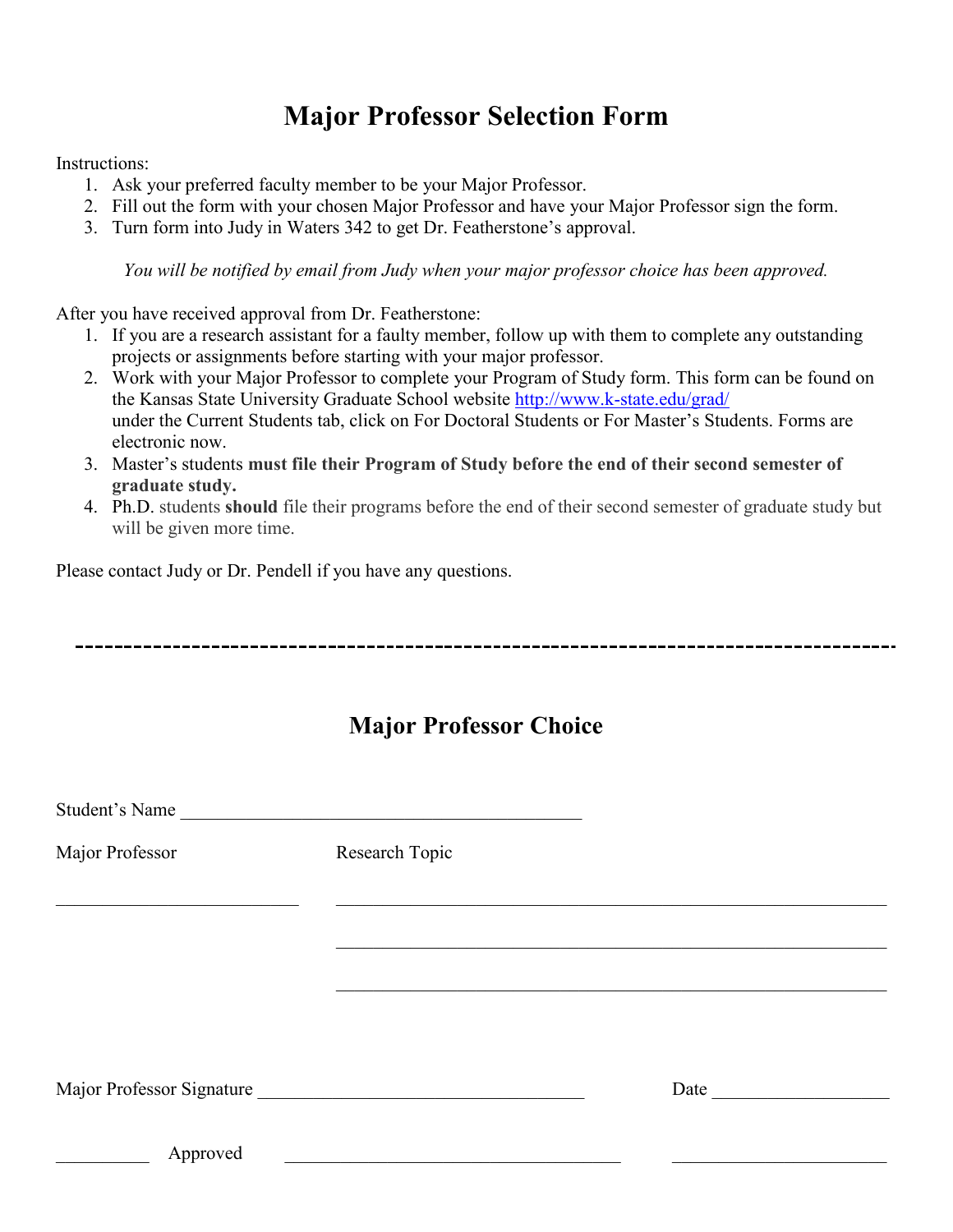## **Major Professor Selection Form**

Instructions:

- 1. Ask your preferred faculty member to be your Major Professor.
- 2. Fill out the form with your chosen Major Professor and have your Major Professor sign the form.
- 3. Turn form into Judy in Waters 342 to get Dr. Featherstone's approval.

*You will be notified by email from Judy when your major professor choice has been approved.*

After you have received approval from Dr. Featherstone:

- 1. If you are a research assistant for a faulty member, follow up with them to complete any outstanding projects or assignments before starting with your major professor.
- 2. Work with your Major Professor to complete your Program of Study form. This form can be found on the Kansas State University Graduate School website<http://www.k-state.edu/grad/> under the Current Students tab, click on For Doctoral Students or For Master's Students. Forms are electronic now.
- 3. Master's students **must file their Program of Study before the end of their second semester of graduate study.**
- 4. Ph.D. students **should** file their programs before the end of their second semester of graduate study but will be given more time.

Please contact Judy or Dr. Pendell if you have any questions.

## **Major Professor Choice**

| Student's Name  |                           |      |
|-----------------|---------------------------|------|
| Major Professor | Research Topic            |      |
|                 |                           |      |
|                 |                           |      |
|                 |                           |      |
|                 |                           |      |
|                 | Major Professor Signature | Date |
| Approved        |                           |      |